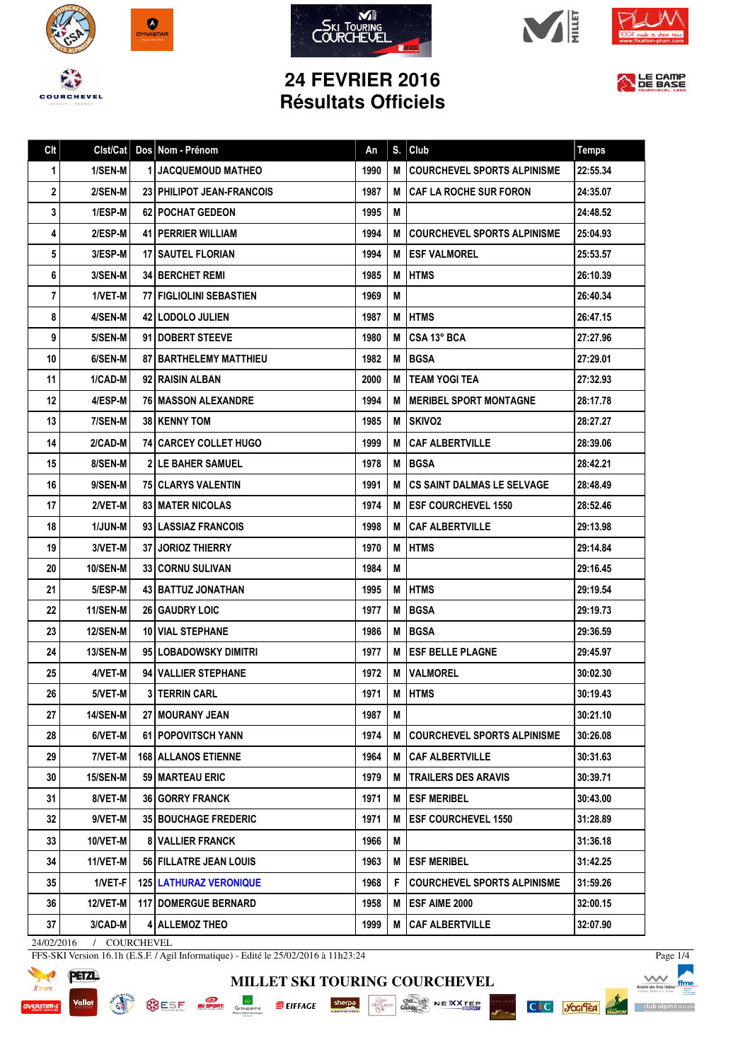









## **24 FEVRIER 2016 Résultats Officiels**



Page 1/4

 $\Lambda$ 

△ club alpin f

C C Josifer

PISTE NOI

| Clt |                 | Cist/Cat   Dos   Nom - Prénom   | An   | S. | Club                               | <b>Temps</b> |
|-----|-----------------|---------------------------------|------|----|------------------------------------|--------------|
| 1   | 1/SEN-M         | <b>1 JACQUEMOUD MATHEO</b>      | 1990 | M  | <b>COURCHEVEL SPORTS ALPINISME</b> | 22:55.34     |
| 2   | 2/SEN-M         | 23 PHILIPOT JEAN-FRANCOIS       | 1987 | М  | <b>CAF LA ROCHE SUR FORON</b>      | 24:35.07     |
| 3   | 1/ESP-M         | <b>62 POCHAT GEDEON</b>         | 1995 | M  |                                    | 24:48.52     |
| 4   | 2/ESP-M         | <b>41   PERRIER WILLIAM</b>     | 1994 | м  | <b>COURCHEVEL SPORTS ALPINISME</b> | 25:04.93     |
| 5   | 3/ESP-M         | <b>17 I SAUTEL FLORIAN</b>      | 1994 | М  | <b>ESF VALMOREL</b>                | 25:53.57     |
| 6   | 3/SEN-M         | <b>34 BERCHET REMI</b>          | 1985 | M  | <b>HTMS</b>                        | 26:10.39     |
| 7   | 1/VET-M         | 77 FIGLIOLINI SEBASTIEN         | 1969 | M  |                                    | 26:40.34     |
| 8   | 4/SEN-M         | <b>42   LODOLO JULIEN</b>       | 1987 | M  | <b>HTMS</b>                        | 26:47.15     |
| 9   | 5/SEN-M         | 91 <b>DOBERT STEEVE</b>         | 1980 | M  | CSA 13° BCA                        | 27:27.96     |
| 10  | 6/SEN-M         | <b>87   BARTHELEMY MATTHIEU</b> | 1982 | M  | <b>BGSA</b>                        | 27:29.01     |
| 11  | 1/CAD-M         | 92 RAISIN ALBAN                 | 2000 | М  | <b>TEAM YOGI TEA</b>               | 27:32.93     |
| 12  | 4/ESP-M         | <b>76   MASSON ALEXANDRE</b>    | 1994 | м  | <b>MERIBEL SPORT MONTAGNE</b>      | 28:17.78     |
| 13  | 7/SEN-M         | 38   KENNY TOM                  | 1985 | М  | <b>SKIVO2</b>                      | 28:27.27     |
| 14  | 2/CAD-M         | <b>741 CARCEY COLLET HUGO</b>   | 1999 | М  | <b>CAF ALBERTVILLE</b>             | 28:39.06     |
| 15  | 8/SEN-M         | <b>21LE BAHER SAMUEL</b>        | 1978 | M  | <b>BGSA</b>                        | 28:42.21     |
| 16  | 9/SEN-M         | <b>75 CLARYS VALENTIN</b>       | 1991 | M  | <b>CS SAINT DALMAS LE SELVAGE</b>  | 28:48.49     |
| 17  | 2/VET-M         | <b>83 I MATER NICOLAS</b>       | 1974 | м  | <b>ESF COURCHEVEL 1550</b>         | 28:52.46     |
| 18  | <b>1/JUN-M</b>  | 93 LASSIAZ FRANCOIS             | 1998 | М  | <b>CAF ALBERTVILLE</b>             | 29:13.98     |
| 19  | 3/VET-M         | <b>37 JORIOZ THIERRY</b>        | 1970 | M  | <b>HTMS</b>                        | 29:14.84     |
| 20  | <b>10/SEN-M</b> | <b>33 CORNU SULIVAN</b>         | 1984 | M  |                                    | 29:16.45     |
| 21  | 5/ESP-M         | 43   BATTUZ JONATHAN            | 1995 | M  | <b>HTMS</b>                        | 29:19.54     |
| 22  | 11/SEN-M        | <b>26 GAUDRY LOIC</b>           | 1977 | M  | <b>BGSA</b>                        | 29:19.73     |
| 23  | <b>12/SEN-M</b> | <b>10   VIAL STEPHANE</b>       | 1986 | M  | <b>BGSA</b>                        | 29:36.59     |
| 24  | 13/SEN-M        | 95 LOBADOWSKY DIMITRI           | 1977 | M  | <b>ESF BELLE PLAGNE</b>            | 29:45.97     |
| 25  | 4/VET-M         | 94 VALLIER STEPHANE             | 1972 | М  | <b>VALMOREL</b>                    | 30:02.30     |
| 26  | 5/VET-M         | 3 TERRIN CARL                   | 1971 |    | M HTMS                             | 30:19.43     |
| 27  | 14/SEN-M        | <b>27 I MOURANY JEAN</b>        | 1987 | М  |                                    | 30:21.10     |
| 28  | 6/VET-M         | 61 POPOVITSCH YANN              | 1974 | M  | <b>COURCHEVEL SPORTS ALPINISME</b> | 30:26.08     |
| 29  | 7/VET-M         | <b>168   ALLANOS ETIENNE</b>    | 1964 | м  | <b>CAF ALBERTVILLE</b>             | 30:31.63     |
| 30  | <b>15/SEN-M</b> | 59   MARTEAU ERIC               | 1979 | M  | <b>TRAILERS DES ARAVIS</b>         | 30:39.71     |
| 31  | 8/VET-M         | <b>36 GORRY FRANCK</b>          | 1971 | M  | <b>ESF MERIBEL</b>                 | 30:43.00     |
| 32  | 9/VET-M         | <b>35 BOUCHAGE FREDERIC</b>     | 1971 | M  | <b>ESF COURCHEVEL 1550</b>         | 31:28.89     |
| 33  | 10/VET-M        | <b>8 VALLIER FRANCK</b>         | 1966 | Μ  |                                    | 31:36.18     |
| 34  | 11/VET-M        | 56 FILLATRE JEAN LOUIS          | 1963 | м  | <b>ESF MERIBEL</b>                 | 31:42.25     |
| 35  | 1/VET-F         | <b>125   LATHURAZ VERONIQUE</b> | 1968 | F  | <b>COURCHEVEL SPORTS ALPINISME</b> | 31:59.26     |
| 36  | 12/VET-M        | <b>117   DOMERGUE BERNARD</b>   | 1958 | M  | <b>ESF AIME 2000</b>               | 32:00.15     |
| 37  | 3/CAD-M         | 4 ALLEMOZ THEO                  | 1999 | M  | <b>CAF ALBERTVILLE</b>             | 32:07.90     |

**MILLET SKI TOURING COURCHEVEL**

24/02/2016 / COURCHEVEL

FFS-SKI Version 16.1h (E.S.F. / Agil Informatique) - Edité le 25/02/2016 à 11h23:24



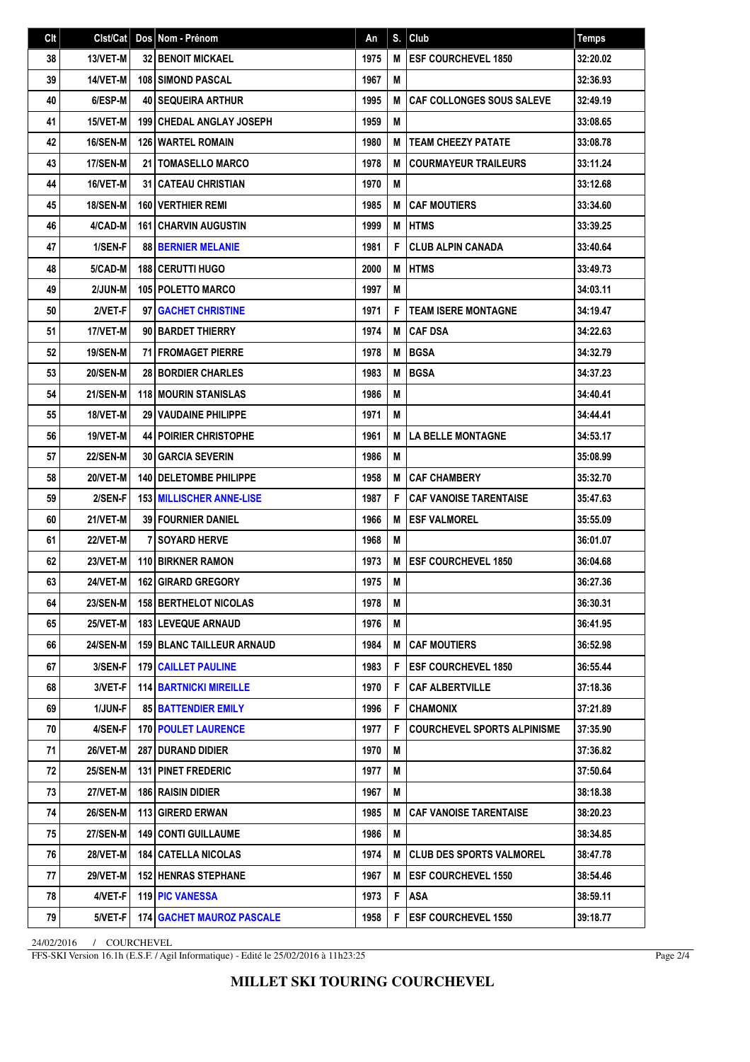| Clt | Clst/Cat        | Dos Nom - Prénom                 | An   | S. | Club                               | <b>Temps</b> |
|-----|-----------------|----------------------------------|------|----|------------------------------------|--------------|
| 38  | 13/VET-M        | <b>32 BENOIT MICKAEL</b>         | 1975 | M  | <b>IESF COURCHEVEL 1850</b>        | 32:20.02     |
| 39  | 14/VET-M        | <b>108 SIMOND PASCAL</b>         | 1967 | M  |                                    | 32:36.93     |
| 40  | 6/ESP-M         | <b>40 SEQUEIRA ARTHUR</b>        | 1995 | M  | <b>CAF COLLONGES SOUS SALEVE</b>   | 32:49.19     |
| 41  | 15/VET-M        | <b>199 CHEDAL ANGLAY JOSEPH</b>  | 1959 | M  |                                    | 33:08.65     |
| 42  | 16/SEN-M        | <b>126 WARTEL ROMAIN</b>         | 1980 | M  | <b>TEAM CHEEZY PATATE</b>          | 33:08.78     |
| 43  | 17/SEN-M        | 21   TOMASELLO MARCO             | 1978 | M  | <b>COURMAYEUR TRAILEURS</b>        | 33:11.24     |
| 44  | 16/VET-M        | <b>31   CATEAU CHRISTIAN</b>     | 1970 | M  |                                    | 33:12.68     |
| 45  | <b>18/SEN-M</b> | <b>160 VERTHIER REMI</b>         | 1985 | M  | <b>CAF MOUTIERS</b>                | 33:34.60     |
| 46  | 4/CAD-M         | <b>161 CHARVIN AUGUSTIN</b>      | 1999 | M  | <b>HTMS</b>                        | 33:39.25     |
| 47  | 1/SEN-F         | <b>88 BERNIER MELANIE</b>        | 1981 | F  | <b>CLUB ALPIN CANADA</b>           | 33:40.64     |
| 48  | 5/CAD-M         | <b>188   CERUTTI HUGO</b>        | 2000 | M  | <b>HTMS</b>                        | 33:49.73     |
| 49  | 2/JUN-M         | <b>105 POLETTO MARCO</b>         | 1997 | M  |                                    | 34:03.11     |
| 50  | 2/VET-F         | 97 GACHET CHRISTINE              | 1971 | F  | <b>TEAM ISERE MONTAGNE</b>         | 34:19.47     |
| 51  | 17/VET-M        | 90 BARDET THIERRY                | 1974 | M  | <b>CAF DSA</b>                     | 34:22.63     |
| 52  | 19/SEN-M        | <b>71 FROMAGET PIERRE</b>        | 1978 | M  | <b>BGSA</b>                        | 34:32.79     |
| 53  | <b>20/SEN-M</b> | <b>28 BORDIER CHARLES</b>        | 1983 | M  | <b>BGSA</b>                        | 34:37.23     |
| 54  | 21/SEN-M        | <b>118 MOURIN STANISLAS</b>      | 1986 | M  |                                    | 34:40.41     |
| 55  | 18/VET-M        | 29 VAUDAINE PHILIPPE             | 1971 | M  |                                    | 34:44.41     |
| 56  | 19/VET-M        | <b>44   POIRIER CHRISTOPHE</b>   | 1961 | M  | <b>LA BELLE MONTAGNE</b>           | 34:53.17     |
| 57  | <b>22/SEN-M</b> | <b>30 GARCIA SEVERIN</b>         | 1986 | M  |                                    | 35:08.99     |
| 58  | 20/VET-M        | <b>140   DELETOMBE PHILIPPE</b>  | 1958 | M  | <b>CAF CHAMBERY</b>                | 35:32.70     |
| 59  | 2/SEN-F         | <b>153 MILLISCHER ANNE-LISE</b>  | 1987 | F  | <b>CAF VANOISE TARENTAISE</b>      | 35:47.63     |
| 60  | 21/VET-M        | <b>39 FOURNIER DANIEL</b>        | 1966 | M  | <b>ESF VALMOREL</b>                | 35:55.09     |
| 61  | 22/VET-M        | <b>7 I SOYARD HERVE</b>          | 1968 | M  |                                    | 36:01.07     |
| 62  | 23/VET-M        | 110 BIRKNER RAMON                | 1973 | M  | <b>ESF COURCHEVEL 1850</b>         | 36:04.68     |
| 63  | 24/VET-M        | 162 GIRARD GREGORY               | 1975 | M  |                                    | 36:27.36     |
| 64  | 23/SEN-M        | <b>158 BERTHELOT NICOLAS</b>     | 1978 | M  |                                    | 36:30.31     |
| 65  | 25/VET-M        | <b>183 LEVEQUE ARNAUD</b>        | 1976 | M  |                                    | 36:41.95     |
| 66  | <b>24/SEN-M</b> | <b>159 BLANC TAILLEUR ARNAUD</b> | 1984 | M  | <b>CAF MOUTIERS</b>                | 36:52.98     |
| 67  | 3/SEN-F         | <b>179 CAILLET PAULINE</b>       | 1983 | F  | <b>ESF COURCHEVEL 1850</b>         | 36:55.44     |
| 68  | 3/VET-F         | <b>114 BARTNICKI MIREILLE</b>    | 1970 | F  | <b>CAF ALBERTVILLE</b>             | 37:18.36     |
| 69  | 1/JUN-F         | <b>85 BATTENDIER EMILY</b>       | 1996 | F  | <b>CHAMONIX</b>                    | 37:21.89     |
| 70  | 4/SEN-F         | <b>170 POULET LAURENCE</b>       | 1977 | F  | <b>COURCHEVEL SPORTS ALPINISME</b> | 37:35.90     |
| 71  | 26/VET-M        | <b>287 DURAND DIDIER</b>         | 1970 | M  |                                    | 37:36.82     |
| 72  | <b>25/SEN-M</b> | 131 PINET FREDERIC               | 1977 | M  |                                    | 37:50.64     |
| 73  | 27/VET-M        | <b>186 RAISIN DIDIER</b>         | 1967 | M  |                                    | 38:18.38     |
| 74  | <b>26/SEN-M</b> | 113 GIRERD ERWAN                 | 1985 | M  | <b>CAF VANOISE TARENTAISE</b>      | 38:20.23     |
| 75  | <b>27/SEN-M</b> | <b>149   CONTI GUILLAUME</b>     | 1986 | М  |                                    | 38:34.85     |
| 76  | <b>28/VET-M</b> | <b>184   CATELLA NICOLAS</b>     | 1974 | M  | <b>CLUB DES SPORTS VALMOREL</b>    | 38:47.78     |
| 77  | 29/VET-M        | <b>152 HENRAS STEPHANE</b>       | 1967 | M  | <b>ESF COURCHEVEL 1550</b>         | 38:54.46     |
| 78  | 4/VET-F         | <b>119 PIC VANESSA</b>           | 1973 | F  | <b>ASA</b>                         | 38:59.11     |
| 79  | 5/VET-F         | <b>174 GACHET MAUROZ PASCALE</b> | 1958 | F  | <b>ESF COURCHEVEL 1550</b>         | 39:18.77     |

24/02/2016 / COURCHEVEL

FFS-SKI Version 16.1h (E.S.F. / Agil Informatique) - Edité le 25/02/2016 à 11h23:25

Page 2/4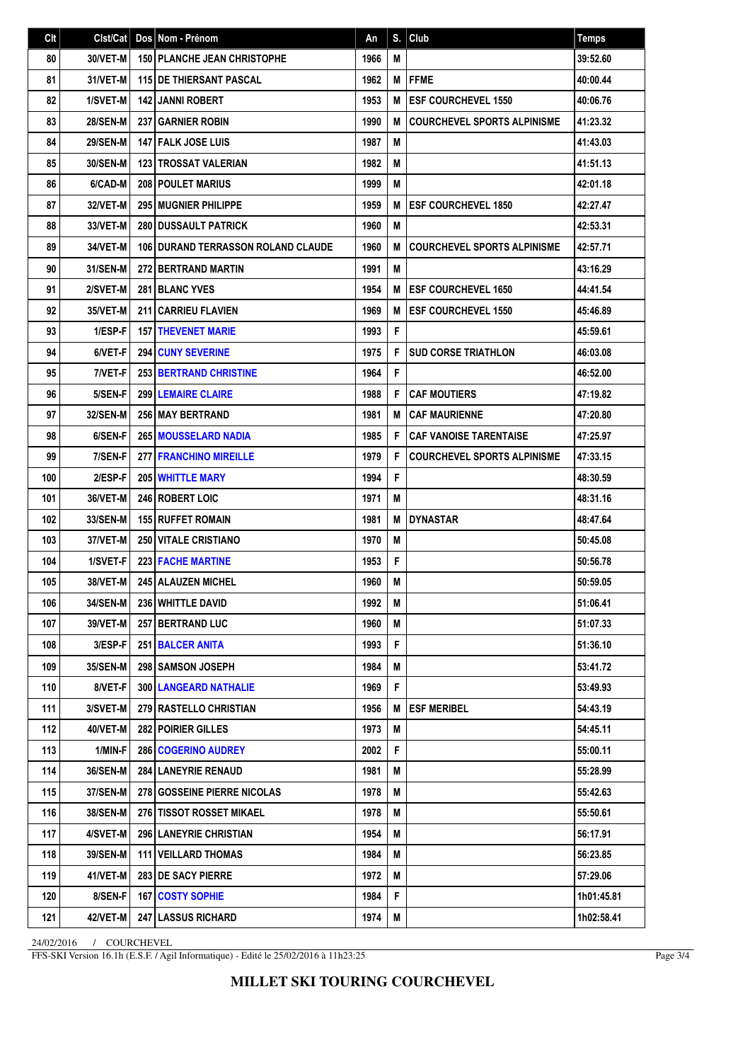| Clt | Clst/Cat        | Dos Nom - Prénom                          | An   | S. | $ $ Club                           | <b>Temps</b> |
|-----|-----------------|-------------------------------------------|------|----|------------------------------------|--------------|
| 80  | 30/VET-M        | <b>150   PLANCHE JEAN CHRISTOPHE</b>      | 1966 | M  |                                    | 39:52.60     |
| 81  | 31/VET-M        | <b>115 DE THIERSANT PASCAL</b>            | 1962 | M  | <b>FFME</b>                        | 40:00.44     |
| 82  | 1/SVET-M        | <b>142 JANNI ROBERT</b>                   | 1953 | M  | <b>ESF COURCHEVEL 1550</b>         | 40:06.76     |
| 83  | <b>28/SEN-M</b> | 237 GARNIER ROBIN                         | 1990 | M  | <b>COURCHEVEL SPORTS ALPINISME</b> | 41:23.32     |
| 84  | <b>29/SEN-M</b> | <b>147 FALK JOSE LUIS</b>                 | 1987 | M  |                                    | 41:43.03     |
| 85  | 30/SEN-M        | <b>123 TROSSAT VALERIAN</b>               | 1982 | M  |                                    | 41:51.13     |
| 86  | 6/CAD-M         | <b>208 POULET MARIUS</b>                  | 1999 | M  |                                    | 42:01.18     |
| 87  | 32/VET-M        | 295 MUGNIER PHILIPPE                      | 1959 | М  | <b>ESF COURCHEVEL 1850</b>         | 42:27.47     |
| 88  | 33/VET-M        | <b>280 IDUSSAULT PATRICK</b>              | 1960 | M  |                                    | 42:53.31     |
| 89  | 34/VET-M        | <b>106 DURAND TERRASSON ROLAND CLAUDE</b> | 1960 | M  | <b>COURCHEVEL SPORTS ALPINISME</b> | 42:57.71     |
| 90  | 31/SEN-M        | <b>272 BERTRAND MARTIN</b>                | 1991 | M  |                                    | 43:16.29     |
| 91  | 2/SVET-M        | 281 BLANC YVES                            | 1954 | M  | <b>ESF COURCHEVEL 1650</b>         | 44:41.54     |
| 92  | 35/VET-M        | 211 CARRIEU FLAVIEN                       | 1969 | М  | <b>ESF COURCHEVEL 1550</b>         | 45:46.89     |
| 93  | 1/ESP-F         | <b>157 THEVENET MARIE</b>                 | 1993 | F  |                                    | 45:59.61     |
| 94  | 6/VET-F         | <b>294 CUNY SEVERINE</b>                  | 1975 | F  | <b>SUD CORSE TRIATHLON</b>         | 46:03.08     |
| 95  | 7/VET-F         | <b>253 BERTRAND CHRISTINE</b>             | 1964 | F  |                                    | 46:52.00     |
| 96  | 5/SEN-F         | <b>299 LEMAIRE CLAIRE</b>                 | 1988 | F  | <b>CAF MOUTIERS</b>                | 47:19.82     |
| 97  | 32/SEN-M        | 256 MAY BERTRAND                          | 1981 | M  | <b>CAF MAURIENNE</b>               | 47:20.80     |
| 98  | 6/SEN-F         | <b>265 MOUSSELARD NADIA</b>               | 1985 | F  | <b>CAF VANOISE TARENTAISE</b>      | 47:25.97     |
| 99  | 7/SEN-F         | <b>277 FRANCHINO MIREILLE</b>             | 1979 | F  | <b>COURCHEVEL SPORTS ALPINISME</b> | 47:33.15     |
| 100 | 2/ESP-F         | <b>205 WHITTLE MARY</b>                   | 1994 | F  |                                    | 48:30.59     |
| 101 | 36/VET-M        | <b>246 ROBERT LOIC</b>                    | 1971 | M  |                                    | 48:31.16     |
| 102 | 33/SEN-M        | <b>155 RUFFET ROMAIN</b>                  | 1981 | M  | <b>DYNASTAR</b>                    | 48:47.64     |
| 103 | 37/VET-M        | <b>250 VITALE CRISTIANO</b>               | 1970 | M  |                                    | 50:45.08     |
| 104 | 1/SVET-F        | <b>223 FACHE MARTINE</b>                  | 1953 | F  |                                    | 50:56.78     |
| 105 | 38/VET-M        | 245 ALAUZEN MICHEL                        | 1960 | M  |                                    | 50:59.05     |
| 106 | 34/SEN-M        | 236 WHITTLE DAVID                         | 1992 | Μ  |                                    | 51:06.41     |
| 107 | 39/VET-M        | 257 BERTRAND LUC                          | 1960 | М  |                                    | 51:07.33     |
| 108 | 3/ESP-F         | 251 BALCER ANITA                          | 1993 | F  |                                    | 51:36.10     |
| 109 | 35/SEN-M        | 298 SAMSON JOSEPH                         | 1984 | M  |                                    | 53:41.72     |
| 110 | 8/VET-F         | 300 LANGEARD NATHALIE                     | 1969 | F  |                                    | 53:49.93     |
| 111 | 3/SVET-M        | 279 RASTELLO CHRISTIAN                    | 1956 | M  | <b>ESF MERIBEL</b>                 | 54:43.19     |
| 112 | <b>40/VET-M</b> | 282   POIRIER GILLES                      | 1973 | M  |                                    | 54:45.11     |
| 113 | 1/MIN-F         | 286 COGERINO AUDREY                       | 2002 | F  |                                    | 55:00.11     |
| 114 | 36/SEN-M        | <b>284 LANEYRIE RENAUD</b>                | 1981 | M  |                                    | 55:28.99     |
| 115 | 37/SEN-M        | 278 GOSSEINE PIERRE NICOLAS               | 1978 | M  |                                    | 55:42.63     |
| 116 | <b>38/SEN-M</b> | <b>276 TISSOT ROSSET MIKAEL</b>           | 1978 | M  |                                    | 55:50.61     |
| 117 | 4/SVET-M        | <b>296 LANEYRIE CHRISTIAN</b>             | 1954 | M  |                                    | 56:17.91     |
| 118 | 39/SEN-M        | 111 VEILLARD THOMAS                       | 1984 | M  |                                    | 56:23.85     |
| 119 | 41/VET-M        | <b>283 DE SACY PIERRE</b>                 | 1972 | M  |                                    | 57:29.06     |
| 120 | 8/SEN-F         | 167   COSTY SOPHIE                        | 1984 | F. |                                    | 1h01:45.81   |
| 121 | 42/VET-M        | <b>247 LASSUS RICHARD</b>                 | 1974 | M  |                                    | 1h02:58.41   |

24/02/2016 / COURCHEVEL

FFS-SKI Version 16.1h (E.S.F. / Agil Informatique) - Edité le 25/02/2016 à 11h23:25

Page 3/4

**MILLET SKI TOURING COURCHEVEL**